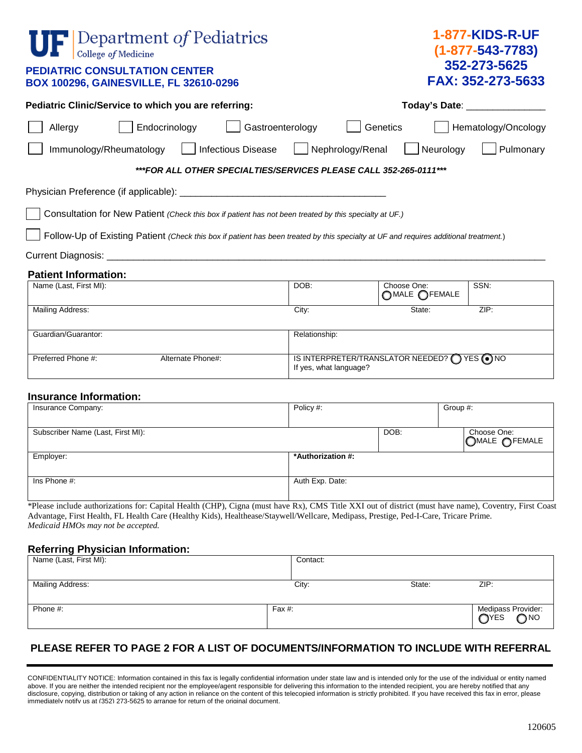| Department of Pediatrics<br>College of Medicine<br><b>PEDIATRIC CONSULTATION CENTER</b><br>BOX 100296, GAINESVILLE, FL 32610-0296     |                                                                            |                                 | <b>1-877-KIDS-R-UF</b><br>$(1 - 877 - 543 - 7783)$<br>352-273-5625<br>FAX: 352-273-5633 |  |  |
|---------------------------------------------------------------------------------------------------------------------------------------|----------------------------------------------------------------------------|---------------------------------|-----------------------------------------------------------------------------------------|--|--|
| Pediatric Clinic/Service to which you are referring:                                                                                  |                                                                            | Today's Date: _________________ |                                                                                         |  |  |
| Endocrinology<br>Gastroenterology<br>Allergy                                                                                          |                                                                            | Genetics                        | Hematology/Oncology                                                                     |  |  |
| <b>Infectious Disease</b><br>Immunology/Rheumatology                                                                                  | Nephrology/Renal                                                           |                                 | Pulmonary<br>Neurology                                                                  |  |  |
| ***FOR ALL OTHER SPECIALTIES/SERVICES PLEASE CALL 352-265-0111***                                                                     |                                                                            |                                 |                                                                                         |  |  |
|                                                                                                                                       |                                                                            |                                 |                                                                                         |  |  |
| Consultation for New Patient (Check this box if patient has not been treated by this specialty at UF.)                                |                                                                            |                                 |                                                                                         |  |  |
| Follow-Up of Existing Patient (Check this box if patient has been treated by this specialty at UF and requires additional treatment.) |                                                                            |                                 |                                                                                         |  |  |
|                                                                                                                                       |                                                                            |                                 |                                                                                         |  |  |
| <b>Patient Information:</b>                                                                                                           |                                                                            |                                 |                                                                                         |  |  |
| Name (Last, First MI):                                                                                                                | DOB:                                                                       | Choose One:<br>OMALE OFEMALE    | SSN:                                                                                    |  |  |
| Mailing Address:                                                                                                                      | City:                                                                      | State:                          | ZIP:                                                                                    |  |  |
| Guardian/Guarantor:                                                                                                                   | Relationship:                                                              |                                 |                                                                                         |  |  |
| Preferred Phone #:                                                                                                                    |                                                                            |                                 |                                                                                         |  |  |
| Alternate Phone#:                                                                                                                     | IS INTERPRETER/TRANSLATOR NEEDED? ( ) YES ( ) NO<br>If yes, what language? |                                 |                                                                                         |  |  |
| <b>Insurance Information:</b>                                                                                                         |                                                                            |                                 |                                                                                         |  |  |
| Insurance Company:                                                                                                                    | Policy #:                                                                  |                                 | Group #:                                                                                |  |  |
|                                                                                                                                       |                                                                            |                                 |                                                                                         |  |  |
| Subscriber Name (Last, First MI):                                                                                                     |                                                                            | DOB:                            | Choose One:<br>OMALE OFEMALE                                                            |  |  |
| Employer:                                                                                                                             | *Authorization #:                                                          |                                 |                                                                                         |  |  |
| Ins Phone #:                                                                                                                          | Auth Exp. Date:                                                            |                                 |                                                                                         |  |  |

\*Please include authorizations for: Capital Health (CHP), Cigna (must have Rx), CMS Title XXI out of district (must have name), Coventry, First Coast Advantage, First Health, FL Health Care (Healthy Kids), Healthease/Staywell/Wellcare, Medipass, Prestige, Ped-I-Care, Tricare Prime. *Medicaid HMOs may not be accepted.*

## **Referring Physician Information:**

| Name (Last, First MI): |        | Contact: |        |                                |
|------------------------|--------|----------|--------|--------------------------------|
|                        |        |          |        |                                |
| Mailing Address:       |        | City:    | State: | ZIP:                           |
|                        |        |          |        |                                |
| Phone #:               | Fax #: |          |        | Medipass Provider:<br>OYES ONO |

## **PLEASE REFER TO PAGE 2 FOR A LIST OF DOCUMENTS/INFORMATION TO INCLUDE WITH REFERRAL**

CONFIDENTIALITY NOTICE: Information contained in this fax is legally confidential information under state law and is intended only for the use of the individual or entity named above. If you are neither the intended recipient nor the employee/agent responsible for delivering this information to the intended recipient, you are hereby notified that any disclosure, copying, distribution or taking of any action in reliance on the content of this telecopied information is strictly prohibited. If you have received this fax in error, please immediately notify us at (352) 273-5625 to arrange for return of the original document.